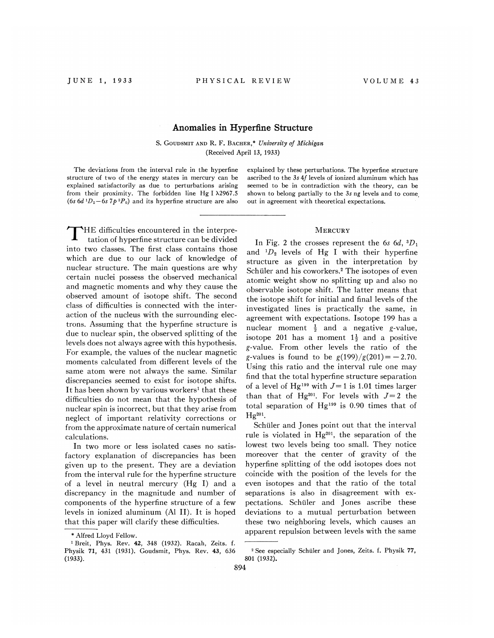## Anomalies in Hyyerfine Structure

S. GOUDSMIT AND R. F. BACHER,\* University of Michigan (Received April 13, 1933)

The deviations from the interval rule in the hyperfine structure of two of the energy states in mercury can be explained satisfactorily as due to perturbations arising from their proximity. The forbidden line Hg I  $\lambda$ 2967.5 (6s 6d  $1D_2$  – 6s  $7p \cdot P_0$ ) and its hyperfine structure are also

THE difficulties encountered in the interpre-<br>
MERCURY tation of hyperfine structure can be divided into two classes. The first class contains those which are due to our lack of knowledge of nuclear structure. The main questions are why certain nuclei possess the observed mechanical and magnetic moments and why they cause the observed amount of isotope shift. The second class of difficulties is connected with the interaction of the nucleus with the surrounding electrons. Assuming that the hyperfine structure is due to nuclear spin, the observed splitting of the levels does not always agree with this hypothesis. For example, the values of the nuclear magnetic moments calculated from different levels of the same atom were not always the same. Similar discrepancies seemed to exist for isotope shifts. It has been shown by various workers<sup>1</sup> that these difficulties do not mean that the hypothesis of nuclear spin is incorrect, but that they arise from neglect of important relativity corrections or from the approximate nature of certain numerical calculations.

In two more or less isolated cases no satisfactory explanation of discrepancies has been given up to the present. They are a deviation from the interval rule for the hyperfine structure of a level in neutral mercury (Hg I) and a discrepancy in the magnitude and number of components of the hyperfine structure of a few levels in ionized aluminum (Al II). It is hoped that this paper will clarify these difficulties.

explained by these perturbations. The hyperfine structure ascribed to the 3s 4f levels of ionized aluminum which has seemed to be in contradiction with the theory, can be shown to belong partially to the 3s ng levels and to come out in agreement with theoretical expectations.

In Fig. 2 the crosses represent the 6s  $6d$ ,  ${}^3D_1$ and  ${}^{1}D_{2}$  levels of Hg I with their hyperfine structure as given in the interpretation by Schüler and his coworkers.<sup>2</sup> The isotopes of even atomic weight show no splitting up and also no observable isotope shift. The latter means that the isotope shift for initial and final levels of the investigated lines is practically the same, in agreement with expectations. Isotope 199 has a 'nuclear moment  $\frac{1}{2}$  and a negative g-value isotope 201 has a moment  $1\frac{1}{2}$  and a positive g-value. From other levels the ratio of the g-values is found to be  $g(199)/g(201) = -2.70$ . Using this ratio and the interval rule one may find that the total hyperfine structure separation of a level of Hg<sup>199</sup> with  $J=1$  is 1.01 times larger than that of Hg<sup>201</sup>. For levels with  $J=2$  the total separation of  $Hg^{199}$  is 0.90 times that of  $He<sup>201</sup>$ .

Schüler and Jones point out that the interval rule is violated in  $Hg^{201}$ , the separation of the lowest two levels being too small. They notice moreover that the center of gravity of the hyperfine splitting of the odd isotopes does not coincide with the position of the levels for the even isotopes and that the ratio of the total separations is also in disagreement with expectations. Schuler and Jones ascribe these deviations to a mutual perturbation between these two neighboring levels, which causes an apparent repulsion between levels with the same

<sup>~</sup> Alfred Lloyd Fellow.

<sup>&#</sup>x27; Breit, Phys. Rev. 42, 348 (1932). Racah, Zeits. f. Physik 71, 431 (1931). Goudsmit, Phys. Rev. 43, 63 (1933).

<sup>&</sup>lt;sup>2</sup> See especially Schüler and Jones, Zeits. f. Physik 77, 801 (1932).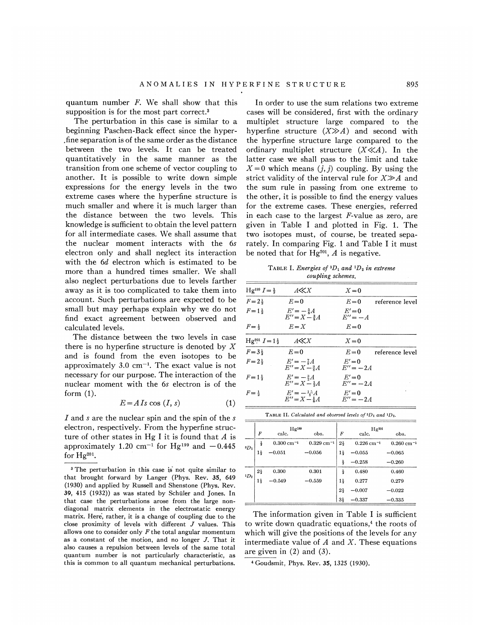quantum number  $F$ . We shall show that this supposition is for the most part correct.<sup>3</sup>

The perturbation in this case is similar to a beginning Paschen-Back effect since the hyper- .fine separation is of the same order as the distance between the two levels. It can be treated quantitatively in the same manner as the transition from one scheme of vector coupling to another. It is possible to write down simple expressions for the energy levels in the two extreme cases where the hyperfine structure is much smaller and where it is much larger than the distance between the two levels. This knowledge is sufficient to obtain the level pattern for all intermediate cases. We shall assume that the nuclear moment interacts with the 6s electron only and shall neglect its interaction with the 6d electron which is estimated to be more than a hundred times smaller. We shall also neglect perturbations due to levels farther away as it is too complicated to take them into account. Such perturbations are expected to be small but may perhaps explain why we do not find exact agreement between observed and calculated levels.

The distance between the two levels in case there is no hyperfine structure is denoted by  $X$ and is found from the even isotopes to be approximately  $3.0 \text{ cm}^{-1}$ . The exact value is not necessary for our purpose. The interaction of the nuclear moment with the 6s electron is of the form (1).

$$
E = A Is \cos (I, s) \tag{1}
$$

I and s are the nuclear spin and the spin of the s electron, respectively. From the hyperfine structure of other states in Hg I it is found that  $A$  is approximately  $1.20 \text{ cm}^{-1}$  for Hg<sup>199</sup> and  $-0.445$ for  $Hg^{201}$ .

In order to use the sum relations two extreme cases will be considered, first with the ordinary multiplet structure large compared to the hyperfine structure  $(X \gg A)$  and second with the hyperfine structure large compared to the ordinary multiplet structure  $(X \ll A)$ . In the latter case we shall pass to the limit and take  $X=0$  which means  $(j, j)$  coupling. By using the strict validity of the interval rule for  $X \gg A$  and the sum rule in passing from one extreme to the other, it is possible to find the energy values for the extreme cases. These energies, referred in each case to the largest F-value as zero, are given in Table I and plotted in Fig. 1. The two isotopes must, of course, be treated separately. In comparing Fig. 1 and Table I it must be noted that for Hg<sup>201</sup>, A is negative.

TABLE I. Energies of  ${}^3D_1$  and  ${}^1D_2$  in extreme coupling schemes.

| $Hg^{199} I = \frac{1}{2}$  | A≪X                                                                              | $X=0$                             |                 |
|-----------------------------|----------------------------------------------------------------------------------|-----------------------------------|-----------------|
| $F = 2\frac{1}{2}$          | $E=0$                                                                            | $E=0$                             | reference level |
| $F = 1\frac{1}{2}$          | $E' = -\frac{5}{8}A$<br>$E'' = X - \frac{3}{2}A$                                 | $E'=0$<br>$E^{\prime\prime} = -A$ |                 |
| $F = \frac{1}{2}$           | $E = X$                                                                          | $E=0$                             |                 |
| $Hg^{201} I = 1\frac{1}{2}$ | A≪X                                                                              | $X=0$                             |                 |
| $F = 3\frac{1}{2}$          | $E=0$                                                                            | $E=0$                             | reference level |
| $F = 2\frac{1}{2}$          | $E' = -\frac{7}{6}A$<br>$E'' = X - \frac{9}{2}A$                                 | $E'=0$<br>$E'' = -2A$             |                 |
| $F = 1\frac{1}{2}$          | $E' = -\frac{3}{2}A$<br>$E'' = X - \frac{1}{2}A$                                 | $E'=0$<br>$E'' = -2A$             |                 |
| $F = \frac{1}{2}$           | $E' = -\frac{15}{2}A$<br>$E'' = X - \frac{1}{2}A$                                | $E'=0$<br>$E'' = -2A$             |                 |
|                             | <b>TABLE II.</b> Calculated and observed levels of ${}^{3}D_1$ and ${}^{1}D_2$ , |                                   |                 |

| <b>TABLE 11.</b> Calculated and observed levels of $D_1$ and $D_2$ . |                  |                         |                          |                  |                          |                         |  |  |
|----------------------------------------------------------------------|------------------|-------------------------|--------------------------|------------------|--------------------------|-------------------------|--|--|
|                                                                      | Hg199            |                         |                          |                  | Hg201                    |                         |  |  |
|                                                                      | $\boldsymbol{F}$ | calc.                   | obs.                     | $\boldsymbol{F}$ | calc.                    | obs.                    |  |  |
| $3D_1$                                                               | $\frac{1}{2}$    | $0.300 \text{ cm}^{-1}$ | $0.329$ cm <sup>-1</sup> | $2\frac{1}{2}$   | $0.226$ cm <sup>-1</sup> | $0.260 \text{ cm}^{-1}$ |  |  |
|                                                                      | 1ł               | $-0.051$                | $-0.056$                 | 1į               | $-0.055$                 | $-0.065$                |  |  |
|                                                                      |                  |                         |                          | 릏                | $-0.258$                 | $-0.260$                |  |  |
| $1D_2$                                                               | $2\frac{1}{2}$   | 0.300                   | 0.301                    | $\frac{1}{2}$    | 0.480                    | 0.460                   |  |  |
|                                                                      | $1\frac{1}{2}$   | $-0.549$                | $-0.559$                 | $1\frac{1}{2}$   | 0.277                    | 0.279                   |  |  |
|                                                                      |                  |                         |                          | $2\frac{1}{2}$   | $-0.007$                 | $-0.022$                |  |  |
|                                                                      |                  |                         |                          | $3\frac{1}{2}$   | $-0.337$                 | $-0.335$                |  |  |

The information given in Table I is sufficient to write down quadratic equations,<sup>4</sup> the roots of which will give the positions of the levels for any intermediate value of  $A$  and  $X$ . These equations are given in (2) and (3).

<sup>4</sup> Goudsmit, Phys. Rev. 35, 1325 (1930).

<sup>3</sup> The perturbation in this case is not quite similar to that brought forward by Langer (Phys. Rev. 35, 649 (1930) and applied by Russell and Shenstone (Phys. Rev. 39, 415 (1932)) as was stated by Schiiler and Jones. In that case the perturbations arose from the large nondiagonal matrix elements in the electrostatic energy matrix. Here, rather, it is a change of coupling due to the close proximity of levels with diferent J values. This allows one to consider only  $F$  the total angular momentum as <sup>a</sup> constant of the motion, and no longer J. That it also causes a repulsion between levels of the same total quantum number is not particularly characteristic, as this is common to all quantum mechanical perturbations.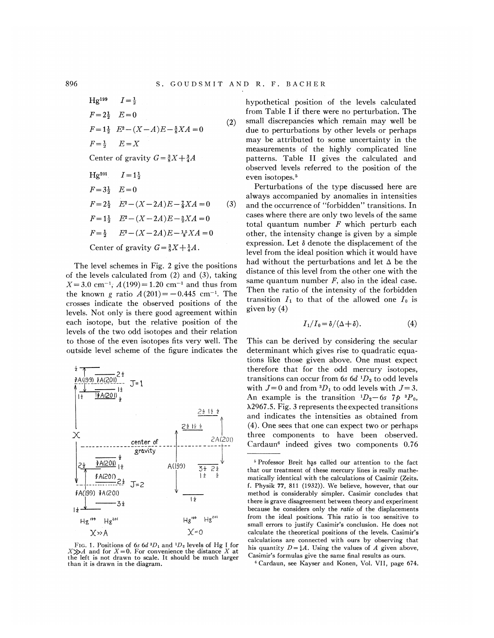Hg<sup>199</sup> 
$$
I = \frac{1}{2}
$$
  
\n $F = 2\frac{1}{2}$   $E = 0$  (2)  
\n $F = 1\frac{1}{2}$   $E^2 - (X - A)E - \frac{5}{8}XA = 0$  (2)  
\n $F = \frac{1}{2}$   $E = X$   
\nCenter of gravity  $G = \frac{3}{8}X + \frac{3}{4}A$   
\nHg<sup>201</sup>  $I = 1\frac{1}{2}$   
\n $F = 3\frac{1}{2}$   $E = 0$   
\n $F = 2\frac{1}{2}$   $E^2 - (X - 2A)E - \frac{7}{8}XA = 0$  (3)  
\n $F = 1\frac{1}{2}$   $E^2 - (X - 2A)E - \frac{3}{8}XA = 0$   
\n $F = \frac{1}{2}$   $E^2 - (X - 2A)E - \frac{1}{8}XA = 0$ 

Center of gravity  $G = \frac{3}{8}X + \frac{1}{4}A$ .

The level schemes in Fig. 2 give the positions of the levels calculated from (2) and (3), taking  $X=3.0$  cm<sup>-1</sup>;  $A(199)=1.20$  cm<sup>-1</sup> and thus from the known g ratio  $A(201) = -0.445$  cm<sup>-1</sup>. The crosses indicate the observed positions of the levels. Not only is there good agreement within each isotope, but the relative position of the levels of the two odd isotopes and their relation to those of the even isotopes fits very well. The outside level scheme of the figure indicates the



FIG. 1. Positions of 6s 6d  ${}^{3}D_1$  and  ${}^{1}D_2$  levels of Hg I for  $X \gg A$  and for  $X=0$ . For convenience the distance X at the left is not drawn to scale. It should be much larger than it is drawn in the diagram.

hypothetical position of the levels calculated from Table I if there were no perturbation. The small discrepancies which remain may well be due to perturbations by other levels or perhaps may be attributed to some uncertainty in the measurements of the highly complicated line patterns. Table II gives the calculated and observed levels referred to the position of the even isotopes.<sup>5</sup>

Perturbations of the type discussed here are always accompanied by anomalies in intensities and the occurrence of "forbidden" transitions. In cases where there are only two levels of the same total quantum number  $F$  which perturb each other, the intensity change is given by a simple expression. Let  $\delta$  denote the displacement of the level from the ideal position which it would have had without the perturbations and let  $\Delta$  be the distance of this level from the other one with the same quantum number  $F$ , also in the ideal case. Then the ratio of the intensity of the forbidden transition  $I_1$  to that of the allowed one  $I_0$  is given by (4)

$$
I_1/I_0 = \delta/(\Delta + \delta).
$$
 (4)

This can be derived by considering the secular determinant which gives rise to quadratic equations like those given above. One must expect therefore that for the odd mercury isotopes, transitions can occur from 6s  $6d<sup>1</sup>D<sub>2</sub>$  to odd levels with  $J=0$  and from  ${}^3D_1$  to odd levels with  $J=3$ . An example is the transition  ${}^{1}D_{2}-6s$  7*p*  ${}^{3}P_{0}$ , ) 2967.5. Fig. 3 represents the expected transitions and indicates the intensities as obtained from (4). One sees that one can expect two or perhaps three components to have been observed. Cardaun' indeed gives two components 0.76

896

<sup>&</sup>lt;sup>5</sup> Professor Breit has called our attention to the fact that our treatment of these mercury lines is really mathematically identical with the calculations of Casimir (Zeits. f. Physik 77, 811 (1932)). We believe, however, that our method is considerably simpler. Casimir concludes that there is grave disagreement between theory and experiment because he considers only the *ratio* of the displacements from the ideal positions. This ratio is too sensitive to small errors to justify Casimir's conclusion. He does not calculate the theoretical positions of the levels. Casimir's calculations are connected with ours by observing that his quantity  $D=\frac{1}{4}A$ . Using the values of A given above, Casimir's formulas give the same 6nal results as ours.

Cardaun, see Kayser and Konen, Vol. VII, page 674.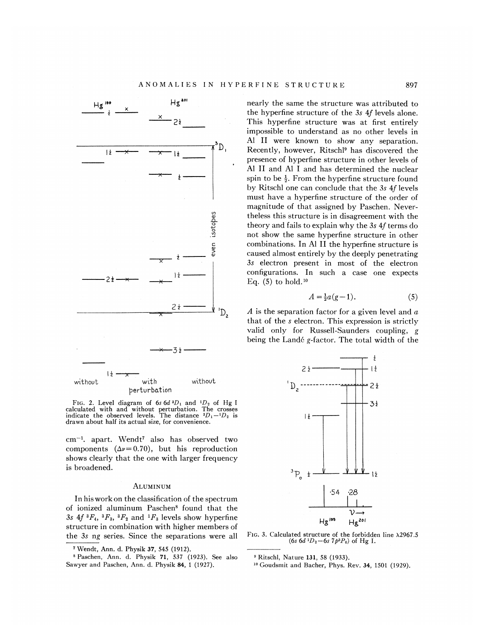

FIG. 2. Level diagram of 6s  $6d \frac{3D_1}{2}$  and  $\frac{1D_2}{2}$  of Hg I calculated with and without perturbation. The crosses<br>indicate the observed levels. The distance  ${}^{3}D_1-{}^{1}D_2$  is drawn about half its actual size, for convenience.

cm<sup>-1</sup>. apart. Wendt<sup>7</sup> also has observed two components  $(\Delta \nu = 0.70)$ , but his reproduction shows clearly that the one with larger frequency is broadened.

## ALUMINUM

In his work on the classification of the spectrum of ionized aluminum Paschen' found that the 3s  $4f \, {}^3F_4$ ,  ${}^3F_3$ ,  ${}^3F_2$  and  ${}^1F_3$  levels show hyperfine structure in combination with higher members of the 3s ng series. Since the separations were all nearly the same the structure was attributed to the hyperfine structure of the 3s 4f levels alone. This hyperfine structure was at first entirely impossible to understand as no other levels in Al II were known to show any separation. Recently, however, Ritschl' has discovered the presence of hyperfine structure in other levels of Al II and Al I and has determined the nuclear spin to be  $\frac{1}{2}$ . From the hyperfine structure found by Ritschl one can conclude that the 3s 4f levels must have a hyperfine structure of the order of magnitude of that assigned by Paschen. Nevertheless this structure is in disagreement with the theory and fails to explain why the  $3s$  4f terms do not show the same hyperfine structure in other combinations. In Al II the hyperfine structure is caused almost entirely by the deeply penetrating 3s electron present in most of the electron configurations. In such a case one expects configurations. In<br>Eq. (5) to hold.<sup>10</sup>

$$
A = \frac{1}{2}a(g-1). \tag{5}
$$

A is the separation factor for a given level and  $\alpha$ that of the s electron. This expression is strictly valid only for Russell-Saunders coupling, g being the Lande g-factor. The total width of the



FIG. 3. Calculated structure of the forbidden line  $\lambda$ 2967.5 (6s 6d <sup>1</sup>D<sub>2</sub> - 6s 7p<sup>3</sup>P<sub>0</sub>) of Hg I.

<sup>&</sup>lt;sup>7</sup> Wendt, Ann. d. Physik 37, 545 (1912).

Paschen, Ann. d. Physik 71, 537 (1923). See also Sawyer and Paschen, Ann. d. Physik 84, <sup>1</sup> (1927).

<sup>&#</sup>x27; Ritschl, Nature 131, 58 (1933).

<sup>&</sup>lt;sup>10</sup> Goudsmit and Bacher, Phys. Rev. 34, 1501 (1929).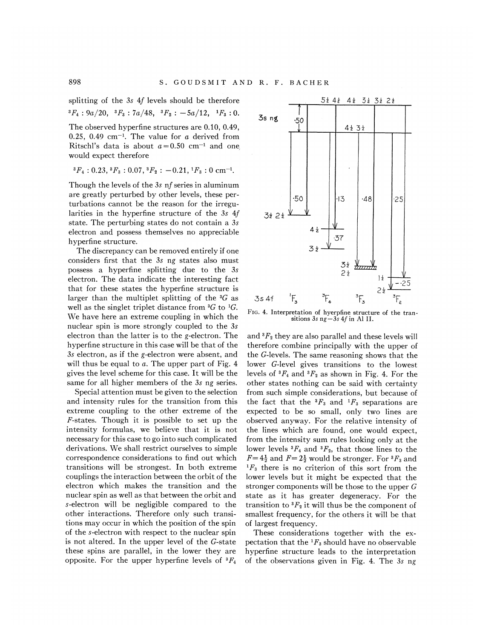splitting of the 3s 4f levels should be therefore

 ${}^3F_4$  : 9a/20,  ${}^3F_3$  : 7a/48,  ${}^3F_2$  :  $-5a/12$ ,  ${}^1F_3$  : 0.

The observed hyperfine structures are 0.10, 0.49, 0.25, 0.49 cm<sup>-1</sup>. The value for a derived from Ritschl's data is about  $a=0.50$  cm<sup>-1</sup> and one would expect therefore

$$
{}^3F_4: 0.23, {}^3F_3: 0.07, {}^3F_2: -0.21, {}^1F_3: 0 \text{ cm}^{-1}.
$$

Though the levels of the 3s nf series in aluminum are greatly perturbed by other levels, these perturbations cannot be the reason for the irregularities in the hyperfine structure of the 3s 4f state. The perturbing states do not contain a 3s electron and possess themselves no appreciable hyperfine structure.

The discrepancy can be removed entirely if one considers first that the 3s ng states also must possess a hyperfine splitting due to the 3s electron. The data indicate the interesting fact that for these states the hyperfine structure is larger than the multiplet splitting of the  ${}^{3}G$  as well as the singlet triplet distance from  ${}^{3}G$  to  ${}^{1}G$ . We have here an extreme coupling in which the nuclear spin is more strongly coupled to the 3s electron than the latter is to the g-electron. The hyperfine structure in this case will be that of the 3s electron, as if the g-electron were absent, and will thus be equal to  $a$ . The upper part of Fig. 4 gives the level scheme for this case. It will be the same for all higher members of the 3s ng series.

Special attention must be given to the selection and intensity rules for the transition from this extreme coupling to the other extreme of the F-states. Though it is possible to set up the intensity formulas, we believe that it is not necessary for this case to go into such complicated derivations. We shall restrict ourselves to simple correspondence considerations to find out which transitions will be strongest. In both extreme couplings the interaction between the orbit of the electron which makes the transition and the nuclear spin as well as that between the orbit and s-electron will be negligible compared to the other interactions. Therefore only such transitions may occur in which the position of the spin of the s-electron with respect to the nuclear spin is not altered. In the upper level of the G-state these spins are parallel, in the lower they are opposite. For the upper hyperfine levels of  ${}^{3}F_{4}$ 



FIG. 4. Interpretation of hyerpfine structure of the transitions  $3s \text{ ng } -3s \text{ 4}f$  in Al II.

and  ${}^{3}F_{2}$  they are also parallel and these levels will therefore combine principally with the upper- of the G-levels. The same reasoning shows that the lower G-level gives transitions to the lowest levels of  ${}^3F_4$  and  ${}^3F_2$  as shown in Fig. 4. For the other states nothing can be said with certainty from such simple considerations, but because of the fact that the  ${}^{3}F_{3}$  and  ${}^{1}F_{3}$  separations are expected to be so small, only two lines are observed anyway. For the relative intensity of the lines which are found, one would expect, from the intensity sum rules looking only at the lower levels  ${}^{3}F_{4}$  and  ${}^{3}F_{2}$ , that those lines to the  $F=4\frac{1}{2}$  and  $F=2\frac{1}{2}$  would be stronger. For  ${}^3F_3$  and  ${}^{1}F_{3}$  there is no criterion of this sort from the lower levels but it might be expected that the stronger components will be those to the upper  $G$ state as it has greater degeneracy. For the transition to  ${}^{3}F_{2}$  it will thus be the component of smallest frequency, for the others it will be that of largest frequency.

These considerations together with the expectation that the  ${}^{1}F_3$  should have no observable hyperfine structure leads to the interpretation of the observations given in Fig. 4. The 3s ng

898